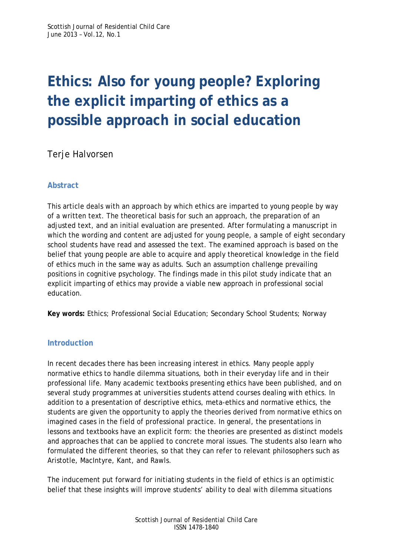# **Ethics: Also for young people? Exploring the explicit imparting of ethics as a possible approach in social education**

Terje Halvorsen

## **Abstract**

This article deals with an approach by which ethics are imparted to young people by way of a written text. The theoretical basis for such an approach, the preparation of an adjusted text, and an initial evaluation are presented. After formulating a manuscript in which the wording and content are adjusted for young people, a sample of eight secondary school students have read and assessed the text. The examined approach is based on the belief that young people are able to acquire and apply theoretical knowledge in the field of ethics much in the same way as adults. Such an assumption challenge prevailing positions in cognitive psychology. The findings made in this pilot study indicate that an explicit imparting of ethics may provide a viable new approach in professional social education.

**Key words:** Ethics; Professional Social Education; Secondary School Students; Norway

### **Introduction**

In recent decades there has been increasing interest in ethics. Many people apply normative ethics to handle dilemma situations, both in their everyday life and in their professional life. Many academic textbooks presenting ethics have been published, and on several study programmes at universities students attend courses dealing with ethics. In addition to a presentation of descriptive ethics, meta-ethics and normative ethics, the students are given the opportunity to apply the theories derived from normative ethics on imagined cases in the field of professional practice. In general, the presentations in lessons and textbooks have an explicit form: the theories are presented as distinct models and approaches that can be applied to concrete moral issues. The students also learn who formulated the different theories, so that they can refer to relevant philosophers such as Aristotle, MacIntyre, Kant, and Rawls.

The inducement put forward for initiating students in the field of ethics is an optimistic belief that these insights will improve students' ability to deal with dilemma situations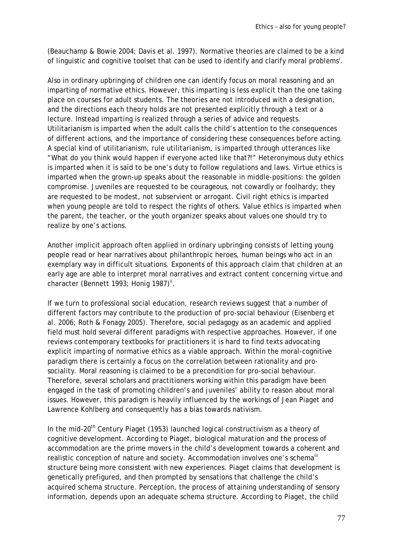(Beauchamp & Bowie 2004; Davis et al. 1997). Normative theories are claimed to be a kind of linguistic and cognitive toolset that can be used to identify and clarify moral problems<sup>i</sup>.

Also in ordinary upbringing of children one can identify focus on moral reasoning and an imparting of normative ethics. However, this imparting is less explicit than the one taking place on courses for adult students. The theories are not introduced with a designation, and the directions each theory holds are not presented explicitly through a text or a lecture. Instead imparting is realized through a series of advice and requests. Utilitarianism is imparted when the adult calls the child's attention to the consequences of different actions, and the importance of considering these consequences before acting. A special kind of utilitarianism, rule utilitarianism, is imparted through utterances like "What do you think would happen if everyone acted like that?!" Heteronymous duty ethics is imparted when it is said to be one's duty to follow regulations and laws. Virtue ethics is imparted when the grown-up speaks about the reasonable in middle-positions: the golden compromise. Juveniles are requested to be courageous, not cowardly or foolhardy; they are requested to be modest, not subservient or arrogant. Civil right ethics is imparted when young people are told to respect the rights of others. Value ethics is imparted when the parent, the teacher, or the youth organizer speaks about values one should try to realize by one's actions.

Another implicit approach often applied in ordinary upbringing consists of letting young people read or hear narratives about philanthropic heroes, human beings who act in an exemplary way in difficult situations. Exponents of this approach claim that children at an early age are able to interpret moral narratives and extract content concerning virtue and character (Bennett 1993; Honig 1987)<sup>ii</sup>.

If we turn to professional social education, research reviews suggest that a number of different factors may contribute to the production of pro-social behaviour (Eisenberg et al. 2006; Roth & Fonagy 2005). Therefore, social pedagogy as an academic and applied field must hold several different paradigms with respective approaches. However, if one reviews contemporary textbooks for practitioners it is hard to find texts advocating explicit imparting of normative ethics as a viable approach. Within the moral-cognitive paradigm there is certainly a focus on the correlation between rationality and prosociality. Moral reasoning is claimed to be a precondition for pro-social behaviour. Therefore, several scholars and practitioners working within this paradigm have been engaged in the task of promoting children's and juveniles' ability to reason about moral issues. However, this paradigm is heavily influenced by the workings of Jean Piaget and Lawrence Kohlberg and consequently has a bias towards nativism.

In the mid-20<sup>th</sup> Century Piaget (1953) launched logical constructivism as a theory of cognitive development. According to Piaget, biological maturation and the process of accommodation are the prime movers in the child's development towards a coherent and realistic conception of nature and society. Accommodation involves one's schema<sup>iii</sup> structure being more consistent with new experiences. Piaget claims that development is genetically prefigured, and then prompted by sensations that challenge the child's acquired schema structure. Perception, the process of attaining understanding of sensory information, depends upon an adequate schema structure. According to Piaget, the child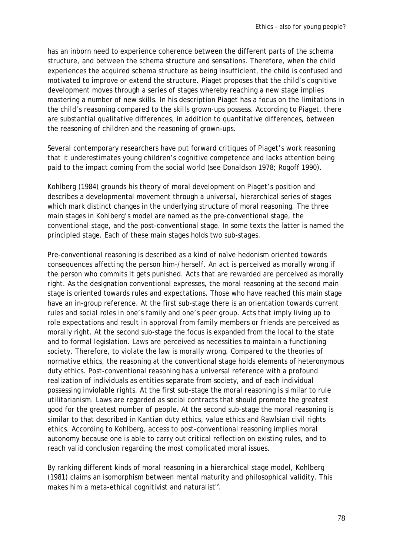has an inborn need to experience coherence between the different parts of the schema structure, and between the schema structure and sensations. Therefore, when the child experiences the acquired schema structure as being insufficient, the child is confused and motivated to improve or extend the structure. Piaget proposes that the child's cognitive development moves through a series of stages whereby reaching a new stage implies mastering a number of new skills. In his description Piaget has a focus on the limitations in the child's reasoning compared to the skills grown-ups possess. According to Piaget, there are substantial qualitative differences, in addition to quantitative differences, between the reasoning of children and the reasoning of grown-ups.

Several contemporary researchers have put forward critiques of Piaget's work reasoning that it underestimates young children's cognitive competence and lacks attention being paid to the impact coming from the social world (see Donaldson 1978; Rogoff 1990).

Kohlberg (1984) grounds his theory of moral development on Piaget's position and describes a developmental movement through a universal, hierarchical series of stages which mark distinct changes in the underlying structure of moral reasoning. The three main stages in Kohlberg's model are named as the pre-conventional stage, the conventional stage, and the post-conventional stage. In some texts the latter is named the principled stage. Each of these main stages holds two sub-stages.

Pre-conventional reasoning is described as a kind of naïve hedonism oriented towards consequences affecting the person him-/herself. An act is perceived as morally wrong if the person who commits it gets punished. Acts that are rewarded are perceived as morally right. As the designation conventional expresses, the moral reasoning at the second main stage is oriented towards rules and expectations. Those who have reached this main stage have an in-group reference. At the first sub-stage there is an orientation towards current rules and social roles in one's family and one's peer group. Acts that imply living up to role expectations and result in approval from family members or friends are perceived as morally right. At the second sub-stage the focus is expanded from the local to the state and to formal legislation. Laws are perceived as necessities to maintain a functioning society. Therefore, to violate the law is morally wrong. Compared to the theories of normative ethics, the reasoning at the conventional stage holds elements of heteronymous duty ethics. Post-conventional reasoning has a universal reference with a profound realization of individuals as entities separate from society, and of each individual possessing inviolable rights. At the first sub-stage the moral reasoning is similar to rule utilitarianism. Laws are regarded as social contracts that should promote the greatest good for the greatest number of people. At the second sub-stage the moral reasoning is similar to that described in Kantian duty ethics, value ethics and Rawlsian civil rights ethics. According to Kohlberg, access to post-conventional reasoning implies moral autonomy because one is able to carry out critical reflection on existing rules, and to reach valid conclusion regarding the most complicated moral issues.

By ranking different kinds of moral reasoning in a hierarchical stage model, Kohlberg (1981) claims an isomorphism between mental maturity and philosophical validity. This makes him a meta-ethical cognitivist and naturalist<sup>iv</sup>.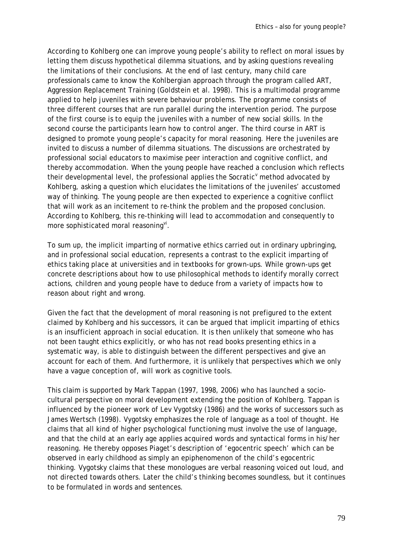According to Kohlberg one can improve young people's ability to reflect on moral issues by letting them discuss hypothetical dilemma situations, and by asking questions revealing the limitations of their conclusions. At the end of last century, many child care professionals came to know the Kohlbergian approach through the program called ART, Aggression Replacement Training (Goldstein et al. 1998). This is a multimodal programme applied to help juveniles with severe behaviour problems. The programme consists of three different courses that are run parallel during the intervention period. The purpose of the first course is to equip the juveniles with a number of new social skills. In the second course the participants learn how to control anger. The third course in ART is designed to promote young people's capacity for moral reasoning. Here the juveniles are invited to discuss a number of dilemma situations. The discussions are orchestrated by professional social educators to maximise peer interaction and cognitive conflict, and thereby accommodation. When the young people have reached a conclusion which reflects their developmental level, the professional applies the Socratic<sup>v</sup> method advocated by Kohlberg, asking a question which elucidates the limitations of the juveniles' accustomed way of thinking. The young people are then expected to experience a cognitive conflict that will work as an incitement to re-think the problem and the proposed conclusion. According to Kohlberg, this re-thinking will lead to accommodation and consequently to more sophisticated moral reasoning<sup>vi</sup>.

To sum up, the implicit imparting of normative ethics carried out in ordinary upbringing, and in professional social education, represents a contrast to the explicit imparting of ethics taking place at universities and in textbooks for grown-ups. While grown-ups get concrete descriptions about how to use philosophical methods to identify morally correct actions, children and young people have to deduce from a variety of impacts how to reason about right and wrong.

Given the fact that the development of moral reasoning is not prefigured to the extent claimed by Kohlberg and his successors, it can be argued that implicit imparting of ethics is an insufficient approach in social education. It is then unlikely that someone who has not been taught ethics explicitly, or who has not read books presenting ethics in a systematic way, is able to distinguish between the different perspectives and give an account for each of them. And furthermore, it is unlikely that perspectives which we only have a vague conception of, will work as cognitive tools.

This claim is supported by Mark Tappan (1997, 1998, 2006) who has launched a sociocultural perspective on moral development extending the position of Kohlberg. Tappan is influenced by the pioneer work of Lev Vygotsky (1986) and the works of successors such as James Wertsch (1998). Vygotsky emphasizes the role of language as a tool of thought. He claims that all kind of higher psychological functioning must involve the use of language, and that the child at an early age applies acquired words and syntactical forms in his/her reasoning. He thereby opposes Piaget's description of 'egocentric speech' which can be observed in early childhood as simply an epiphenomenon of the child's egocentric thinking. Vygotsky claims that these monologues are verbal reasoning voiced out loud, and not directed towards others. Later the child's thinking becomes soundless, but it continues to be formulated in words and sentences.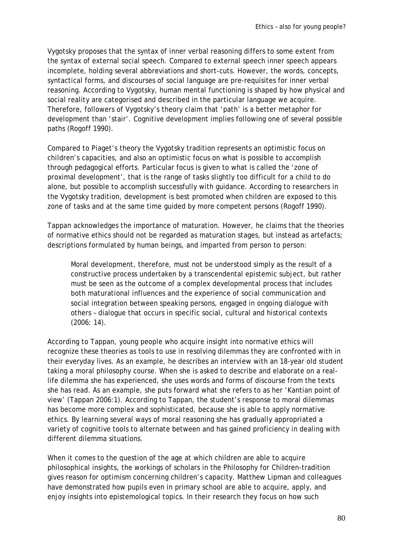Vygotsky proposes that the syntax of inner verbal reasoning differs to some extent from the syntax of external social speech. Compared to external speech inner speech appears incomplete, holding several abbreviations and short-cuts. However, the words, concepts, syntactical forms, and discourses of social language are pre-requisites for inner verbal reasoning. According to Vygotsky, human mental functioning is shaped by how physical and social reality are categorised and described in the particular language we acquire. Therefore, followers of Vygotsky's theory claim that 'path' is a better metaphor for development than 'stair'. Cognitive development implies following one of several possible paths (Rogoff 1990).

Compared to Piaget's theory the Vygotsky tradition represents an optimistic focus on children's capacities, and also an optimistic focus on what is possible to accomplish through pedagogical efforts. Particular focus is given to what is called the 'zone of proximal development', that is the range of tasks slightly too difficult for a child to do alone, but possible to accomplish successfully with guidance. According to researchers in the Vygotsky tradition, development is best promoted when children are exposed to this zone of tasks and at the same time guided by more competent persons (Rogoff 1990).

Tappan acknowledges the importance of maturation. However, he claims that the theories of normative ethics should not be regarded as maturation stages, but instead as artefacts; descriptions formulated by human beings, and imparted from person to person:

Moral development, therefore, must not be understood simply as the result of a constructive process undertaken by a transcendental epistemic subject, but rather must be seen as the outcome of a complex developmental process that includes both maturational influences and the experience of social communication and social integration between speaking persons, engaged in ongoing dialogue with others – dialogue that occurs in specific social, cultural and historical contexts (2006: 14).

According to Tappan, young people who acquire insight into normative ethics will recognize these theories as tools to use in resolving dilemmas they are confronted with in their everyday lives. As an example, he describes an interview with an 18-year old student taking a moral philosophy course. When she is asked to describe and elaborate on a reallife dilemma she has experienced, she uses words and forms of discourse from the texts she has read. As an example, she puts forward what she refers to as her 'Kantian point of view' (Tappan 2006:1). According to Tappan, the student's response to moral dilemmas has become more complex and sophisticated, because she is able to apply normative ethics. By learning several ways of moral reasoning she has gradually appropriated a variety of cognitive tools to alternate between and has gained proficiency in dealing with different dilemma situations.

When it comes to the question of the age at which children are able to acquire philosophical insights, the workings of scholars in the Philosophy for Children-tradition gives reason for optimism concerning children's capacity. Matthew Lipman and colleagues have demonstrated how pupils even in primary school are able to acquire, apply, and enjoy insights into epistemological topics. In their research they focus on how such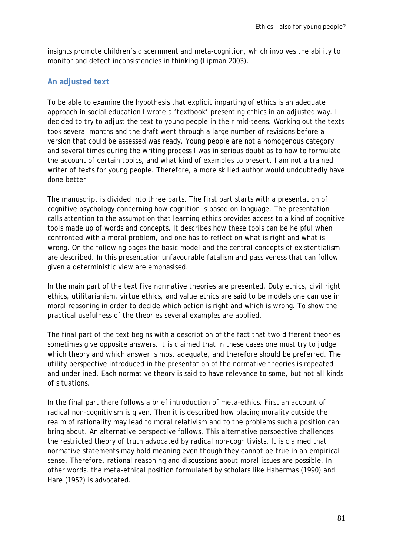insights promote children's discernment and meta-cognition, which involves the ability to monitor and detect inconsistencies in thinking (Lipman 2003).

#### **An adjusted text**

To be able to examine the hypothesis that explicit imparting of ethics is an adequate approach in social education I wrote a 'textbook' presenting ethics in an adjusted way. I decided to try to adjust the text to young people in their mid-teens. Working out the texts took several months and the draft went through a large number of revisions before a version that could be assessed was ready. Young people are not a homogenous category and several times during the writing process I was in serious doubt as to how to formulate the account of certain topics, and what kind of examples to present. I am not a trained writer of texts for young people. Therefore, a more skilled author would undoubtedly have done better.

The manuscript is divided into three parts. The first part starts with a presentation of cognitive psychology concerning how cognition is based on language. The presentation calls attention to the assumption that learning ethics provides access to a kind of cognitive tools made up of words and concepts. It describes how these tools can be helpful when confronted with a moral problem, and one has to reflect on what is right and what is wrong. On the following pages the basic model and the central concepts of existentialism are described. In this presentation unfavourable fatalism and passiveness that can follow given a deterministic view are emphasised.

In the main part of the text five normative theories are presented. Duty ethics, civil right ethics, utilitarianism, virtue ethics, and value ethics are said to be models one can use in moral reasoning in order to decide which action is right and which is wrong. To show the practical usefulness of the theories several examples are applied.

The final part of the text begins with a description of the fact that two different theories sometimes give opposite answers. It is claimed that in these cases one must try to judge which theory and which answer is most adequate, and therefore should be preferred. The utility perspective introduced in the presentation of the normative theories is repeated and underlined. Each normative theory is said to have relevance to some, but not all kinds of situations.

In the final part there follows a brief introduction of meta-ethics. First an account of radical non-cognitivism is given. Then it is described how placing morality outside the realm of rationality may lead to moral relativism and to the problems such a position can bring about. An alternative perspective follows. This alternative perspective challenges the restricted theory of truth advocated by radical non-cognitivists. It is claimed that normative statements may hold meaning even though they cannot be true in an empirical sense. Therefore, rational reasoning and discussions about moral issues are possible. In other words, the meta-ethical position formulated by scholars like Habermas (1990) and Hare (1952) is advocated.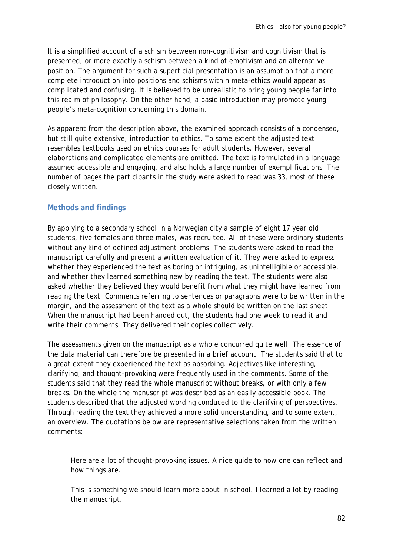It is a simplified account of a schism between non-cognitivism and cognitivism that is presented, or more exactly a schism between a kind of emotivism and an alternative position. The argument for such a superficial presentation is an assumption that a more complete introduction into positions and schisms within meta-ethics would appear as complicated and confusing. It is believed to be unrealistic to bring young people far into this realm of philosophy. On the other hand, a basic introduction may promote young people's meta-cognition concerning this domain.

As apparent from the description above, the examined approach consists of a condensed, but still quite extensive, introduction to ethics. To some extent the adjusted text resembles textbooks used on ethics courses for adult students. However, several elaborations and complicated elements are omitted. The text is formulated in a language assumed accessible and engaging, and also holds a large number of exemplifications. The number of pages the participants in the study were asked to read was 33, most of these closely written.

#### **Methods and findings**

By applying to a secondary school in a Norwegian city a sample of eight 17 year old students, five females and three males, was recruited. All of these were ordinary students without any kind of defined adjustment problems. The students were asked to read the manuscript carefully and present a written evaluation of it. They were asked to express whether they experienced the text as boring or intriguing, as unintelligible or accessible, and whether they learned something new by reading the text. The students were also asked whether they believed they would benefit from what they might have learned from reading the text. Comments referring to sentences or paragraphs were to be written in the margin, and the assessment of the text as a whole should be written on the last sheet. When the manuscript had been handed out, the students had one week to read it and write their comments. They delivered their copies collectively.

The assessments given on the manuscript as a whole concurred quite well. The essence of the data material can therefore be presented in a brief account. The students said that to a great extent they experienced the text as absorbing. Adjectives like interesting, clarifying, and thought-provoking were frequently used in the comments. Some of the students said that they read the whole manuscript without breaks, or with only a few breaks. On the whole the manuscript was described as an easily accessible book. The students described that the adjusted wording conduced to the clarifying of perspectives. Through reading the text they achieved a more solid understanding, and to some extent, an overview. The quotations below are representative selections taken from the written comments:

Here are a lot of thought-provoking issues. A nice guide to how one can reflect and how things are.

This is something we should learn more about in school. I learned a lot by reading the manuscript.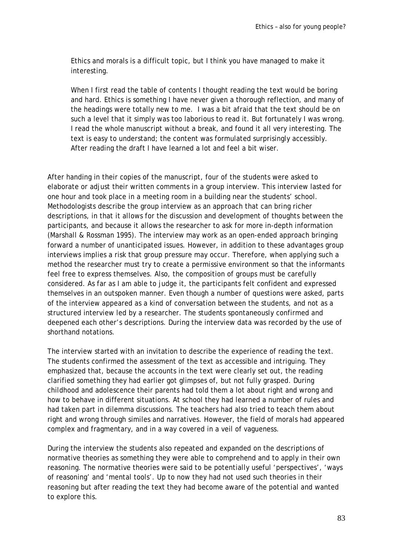Ethics and morals is a difficult topic, but I think you have managed to make it interesting.

When I first read the table of contents I thought reading the text would be boring and hard. Ethics is something I have never given a thorough reflection, and many of the headings were totally new to me. I was a bit afraid that the text should be on such a level that it simply was too laborious to read it. But fortunately I was wrong. I read the whole manuscript without a break, and found it all very interesting. The text is easy to understand; the content was formulated surprisingly accessibly. After reading the draft I have learned a lot and feel a bit wiser.

After handing in their copies of the manuscript, four of the students were asked to elaborate or adjust their written comments in a group interview. This interview lasted for one hour and took place in a meeting room in a building near the students' school. Methodologists describe the group interview as an approach that can bring richer descriptions, in that it allows for the discussion and development of thoughts between the participants, and because it allows the researcher to ask for more in-depth information (Marshall & Rossman 1995). The interview may work as an open-ended approach bringing forward a number of unanticipated issues. However, in addition to these advantages group interviews implies a risk that group pressure may occur. Therefore, when applying such a method the researcher must try to create a permissive environment so that the informants feel free to express themselves. Also, the composition of groups must be carefully considered. As far as I am able to judge it, the participants felt confident and expressed themselves in an outspoken manner. Even though a number of questions were asked, parts of the interview appeared as a kind of conversation between the students, and not as a structured interview led by a researcher. The students spontaneously confirmed and deepened each other's descriptions. During the interview data was recorded by the use of shorthand notations.

The interview started with an invitation to describe the experience of reading the text. The students confirmed the assessment of the text as accessible and intriguing. They emphasized that, because the accounts in the text were clearly set out, the reading clarified something they had earlier got glimpses of, but not fully grasped. During childhood and adolescence their parents had told them a lot about right and wrong and how to behave in different situations. At school they had learned a number of rules and had taken part in dilemma discussions. The teachers had also tried to teach them about right and wrong through similes and narratives. However, the field of morals had appeared complex and fragmentary, and in a way covered in a veil of vagueness.

During the interview the students also repeated and expanded on the descriptions of normative theories as something they were able to comprehend and to apply in their own reasoning. The normative theories were said to be potentially useful 'perspectives', 'ways of reasoning' and 'mental tools'. Up to now they had not used such theories in their reasoning but after reading the text they had become aware of the potential and wanted to explore this.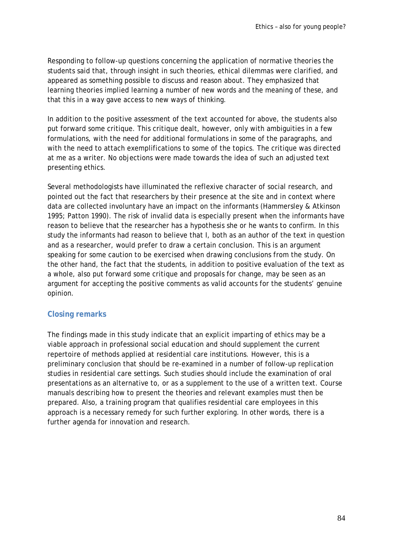Responding to follow-up questions concerning the application of normative theories the students said that, through insight in such theories, ethical dilemmas were clarified, and appeared as something possible to discuss and reason about. They emphasized that learning theories implied learning a number of new words and the meaning of these, and that this in a way gave access to new ways of thinking.

In addition to the positive assessment of the text accounted for above, the students also put forward some critique. This critique dealt, however, only with ambiguities in a few formulations, with the need for additional formulations in some of the paragraphs, and with the need to attach exemplifications to some of the topics. The critique was directed at me as a writer. No objections were made towards the idea of such an adjusted text presenting ethics.

Several methodologists have illuminated the reflexive character of social research, and pointed out the fact that researchers by their presence at the site and in context where data are collected involuntary have an impact on the informants (Hammersley & Atkinson 1995; Patton 1990). The risk of invalid data is especially present when the informants have reason to believe that the researcher has a hypothesis she or he wants to confirm. In this study the informants had reason to believe that I, both as an author of the text in question and as a researcher, would prefer to draw a certain conclusion. This is an argument speaking for some caution to be exercised when drawing conclusions from the study. On the other hand, the fact that the students, in addition to positive evaluation of the text as a whole, also put forward some critique and proposals for change, may be seen as an argument for accepting the positive comments as valid accounts for the students' genuine opinion.

#### **Closing remarks**

The findings made in this study indicate that an explicit imparting of ethics may be a viable approach in professional social education and should supplement the current repertoire of methods applied at residential care institutions. However, this is a preliminary conclusion that should be re-examined in a number of follow-up replication studies in residential care settings. Such studies should include the examination of oral presentations as an alternative to, or as a supplement to the use of a written text. Course manuals describing how to present the theories and relevant examples must then be prepared. Also, a training program that qualifies residential care employees in this approach is a necessary remedy for such further exploring. In other words, there is a further agenda for innovation and research.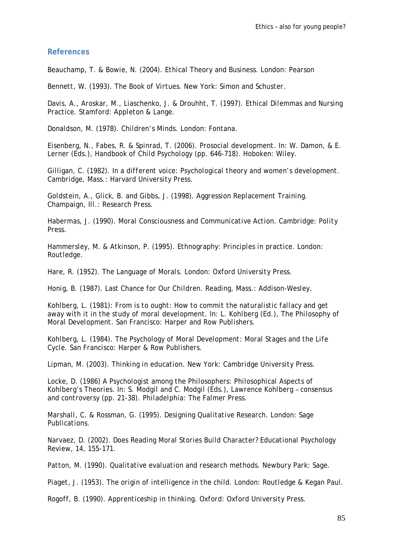#### **References**

*Beauchamp, T. & Bowie, N. (2004). Ethical Theory and Business. London: Pearson* 

*Bennett, W. (1993). The Book of Virtues. New York: Simon and Schuster.* 

*Davis, A., Aroskar, M., Liaschenko, J. & Drouhht, T. (1997). Ethical Dilemmas and Nursing Practice. Stamford: Appleton & Lange.* 

*Donaldson, M. (1978). Children's Minds. London: Fontana.* 

*Eisenberg, N., Fabes, R. & Spinrad, T. (2006). Prosocial development. In: W. Damon, & E. Lerner (Eds.), Handbook of Child Psychology (pp. 646-718). Hoboken: Wiley.* 

*Gilligan, C. (1982). In a different voice: Psychological theory and women's development. Cambridge, Mass.: Harvard University Press.* 

*Goldstein, A., Glick, B. and Gibbs, J. (1998). Aggression Replacement Training. Champaign, Ill.: Research Press.* 

*Habermas, J. (1990). Moral Consciousness and Communicative Action. Cambridge: Polity Press.* 

*Hammersley, M. & Atkinson, P. (1995). Ethnography: Principles in practice. London: Routledge.* 

*Hare, R. (1952). The Language of Morals. London: Oxford University Press.* 

*Honig, B. (1987). Last Chance for Our Children. Reading, Mass.: Addison-Wesley.* 

*Kohlberg, L. (1981): From is to ought: How to commit the naturalistic fallacy and get away with it in the study of moral development. In: L. Kohlberg (Ed.), The Philosophy of Moral Development. San Francisco: Harper and Row Publishers.* 

*Kohlberg, L. (1984). The Psychology of Moral Development: Moral Stages and the Life Cycle. San Francisco: Harper & Row Publishers.* 

*Lipman, M. (2003). Thinking in education. New York: Cambridge University Press.* 

*Locke, D. (1986) A Psychologist among the Philosophers: Philosophical Aspects of Kohlberg's Theories. In: S. Modgil and C. Modgil (Eds.), Lawrence Kohlberg – consensus and controversy (pp. 21-38). Philadelphia: The Falmer Press.* 

*Marshall, C. & Rossman, G. (1995). Designing Qualitative Research. London: Sage Publications.* 

*Narvaez, D. (2002). Does Reading Moral Stories Build Character? Educational Psychology Review, 14, 155-171.* 

*Patton, M. (1990). Qualitative evaluation and research methods. Newbury Park: Sage.* 

*Piaget, J. (1953). The origin of intelligence in the child. London: Routledge & Kegan Paul.* 

*Rogoff, B. (1990). Apprenticeship in thinking. Oxford: Oxford University Press.*